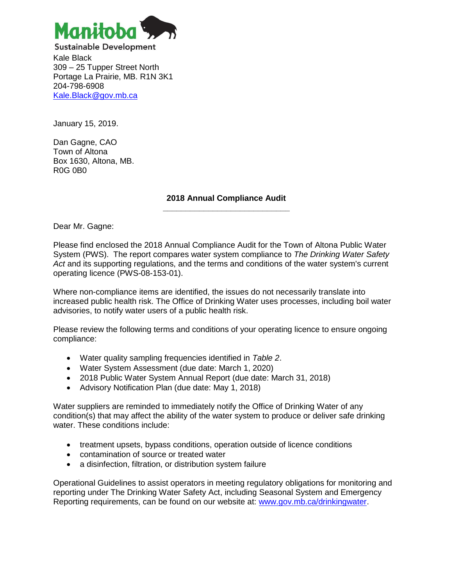

**Sustainable Development** Kale Black 309 – 25 Tupper Street North Portage La Prairie, MB. R1N 3K1 204-798-6908 [Kale.Black@gov.mb.ca](mailto:Kale.Black@gov.mb.ca)

January 15, 2019.

Dan Gagne, CAO Town of Altona Box 1630, Altona, MB. R0G 0B0

> **2018 Annual Compliance Audit \_\_\_\_\_\_\_\_\_\_\_\_\_\_\_\_\_\_\_\_\_\_\_\_\_\_\_\_**

Dear Mr. Gagne:

Please find enclosed the 2018 Annual Compliance Audit for the Town of Altona Public Water System (PWS). The report compares water system compliance to *The Drinking Water Safety*  Act and its supporting regulations, and the terms and conditions of the water system's current operating licence (PWS-08-153-01).

Where non-compliance items are identified, the issues do not necessarily translate into increased public health risk. The Office of Drinking Water uses processes, including boil water advisories, to notify water users of a public health risk.

Please review the following terms and conditions of your operating licence to ensure ongoing compliance:

- Water quality sampling frequencies identified in *Table 2*.
- Water System Assessment (due date: March 1, 2020)
- 2018 Public Water System Annual Report (due date: March 31, 2018)
- Advisory Notification Plan (due date: May 1, 2018)

Water suppliers are reminded to immediately notify the Office of Drinking Water of any condition(s) that may affect the ability of the water system to produce or deliver safe drinking water. These conditions include:

- treatment upsets, bypass conditions, operation outside of licence conditions
- contamination of source or treated water
- a disinfection, filtration, or distribution system failure

Operational Guidelines to assist operators in meeting regulatory obligations for monitoring and reporting under The Drinking Water Safety Act, including Seasonal System and Emergency Reporting requirements, can be found on our website at: [www.gov.mb.ca/drinkingwater.](http://www.gov.mb.ca/drinkingwater)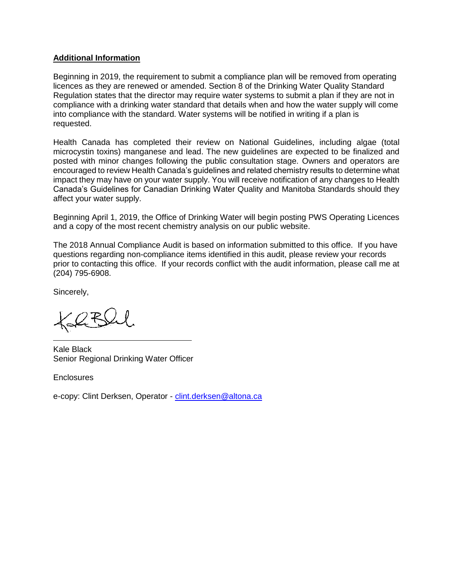## **Additional Information**

Beginning in 2019, the requirement to submit a compliance plan will be removed from operating licences as they are renewed or amended. Section 8 of the Drinking Water Quality Standard Regulation states that the director may require water systems to submit a plan if they are not in compliance with a drinking water standard that details when and how the water supply will come into compliance with the standard. Water systems will be notified in writing if a plan is requested.

Health Canada has completed their review on National Guidelines, including algae (total microcystin toxins) manganese and lead. The new guidelines are expected to be finalized and posted with minor changes following the public consultation stage. Owners and operators are encouraged to review Health Canada's guidelines and related chemistry results to determine what impact they may have on your water supply. You will receive notification of any changes to Health Canada's Guidelines for Canadian Drinking Water Quality and Manitoba Standards should they affect your water supply.

Beginning April 1, 2019, the Office of Drinking Water will begin posting PWS Operating Licences and a copy of the most recent chemistry analysis on our public website.

The 2018 Annual Compliance Audit is based on information submitted to this office. If you have questions regarding non-compliance items identified in this audit, please review your records prior to contacting this office. If your records conflict with the audit information, please call me at (204) 795-6908.

Sincerely,

 $\cancel{Q}$ R

Kale Black Senior Regional Drinking Water Officer

**Enclosures** 

e-copy: Clint Derksen, Operator - [clint.derksen@altona.ca](mailto:clint.derksen@altona.ca)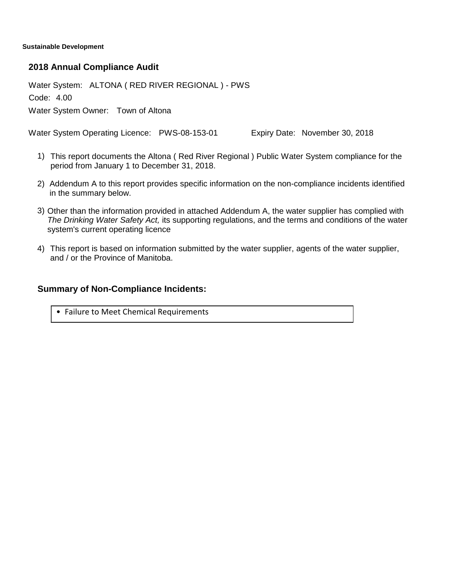**Sustainable Development**

### **2018 Annual Compliance Audit**

Water System: ALTONA ( RED RIVER REGIONAL ) - PWS

Code: 4.00

Water System Owner: Town of Altona

Water System Operating Licence: PWS-08-153-01 Expiry Date: November 30, 2018

- This report documents the Altona ( Red River Regional ) Public Water System compliance for the 1) period from January 1 to December 31, 2018.
- 2) Addendum A to this report provides specific information on the non-compliance incidents identified in the summary below.
- 3) Other than the information provided in attached Addendum A, the water supplier has complied with *The Drinking Water Safety Act,* its supporting regulations, and the terms and conditions of the water system's current operating licence
- This report is based on information submitted by the water supplier, agents of the water supplier, 4) and / or the Province of Manitoba.

## **Summary of Non-Compliance Incidents:**

• Failure to Meet Chemical Requirements